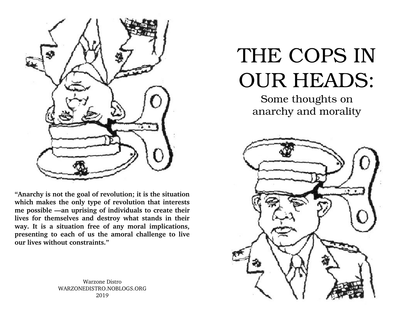

**"Anarchy is not the goal of revolution; it is the situation which makes the only type of revolution that interests me possible —an uprising of individuals to create their lives for themselves and destroy what stands in their way. It is a situation free of any moral implications, presenting to each of us the amoral challenge to live our lives without constraints."** 

> Warzone Distro WARZONEDISTRO.NOBLOGS.ORG 2019

## THE COPS IN OUR HEADS:

Some thoughts on anarchy and morality

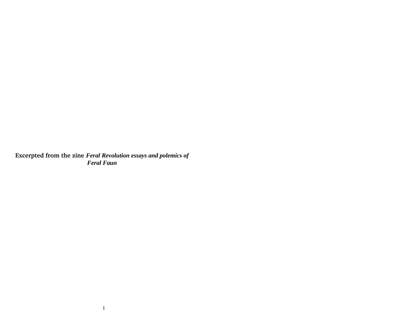**Excerpted from the zine** *Feral Revolution essays and polemics of Feral Faun*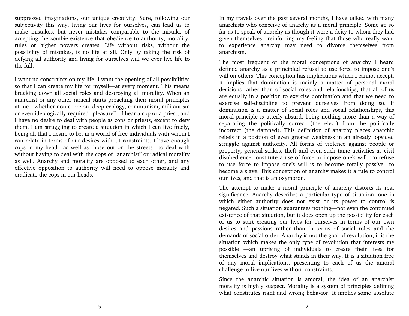suppressed imaginations, our unique creativity. Sure, following our subjectivity this way, living our lives for ourselves, can lead us to make mistakes, but never mistakes comparable to the mistake of accepting the zombie existence that obedience to authority, morality, rules or higher powers creates. Life without risks, without the possibility of mistakes, is no life at all. Only by taking the risk of defying all authority and living for ourselves will we ever live life to the full.

I want no constraints on my life; I want the opening of all possibilities so that I can create my life for myself—at every moment. This means breaking down all social roles and destroying all morality. When an anarchist or any other radical starts preaching their moral principles at me—whether non-coercion, deep ecology, communism, militantism or even ideologically-required "pleasure"—I hear a cop or a priest, and I have no desire to deal with people as cops or priests, except to defy them. I am struggling to create a situation in which I can live freely, being all that I desire to be, in a world of free individuals with whom I can relate in terms of our desires without constraints. I have enough cops in my head—as well as those out on the streets—to deal with without having to deal with the cops of "anarchist" or radical morality as well. Anarchy and morality are opposed to each other, and any effective opposition to authority will need to oppose morality and eradicate the cops in our heads.

In my travels over the past several months, I have talked with many anarchists who conceive of anarchy as a moral principle. Some go so far as to speak of anarchy as though it were a deity to whom they had given themselves—reinforcing my feeling that those who really want to experience anarchy may need to divorce themselves from anarchism.

The most frequent of the moral conceptions of anarchy I heard defined anarchy as a principled refusal to use force to impose one's will on others. This conception has implications which I cannot accept. It implies that domination is mainly a matter of personal moral decisions rather than of social roles and relationships, that all of us are equally in a position to exercise domination and that we need to exercise self-discipline to prevent ourselves from doing so. If domination is a matter of social roles and social relationships, this moral principle is utterly absurd, being nothing more than a way of separating the politically correct (the elect) from the politically incorrect (the damned). This definition of anarchy places anarchic rebels in a position of even greater weakness in an already lopsided struggle against authority. All forms of violence against people or property, general strikes, theft and even such tame activities as civil disobedience constitute a use of force to impose one's will. To refuse to use force to impose one's will is to become totally passive—to become a slave. This conception of anarchy makes it a rule to control our lives, and that is an oxymoron.

The attempt to make a moral principle of anarchy distorts its real significance. Anarchy describes a particular type of situation, one in which either authority does not exist or its power to control is negated. Such a situation guarantees nothing—not even the continued existence of that situation, but it does open up the possibility for each of us to start creating our lives for ourselves in terms of our own desires and passions rather than in terms of social roles and the demands of social order. Anarchy is not the goal of revolution; it is the situation which makes the only type of revolution that interests me possible  $-$ an uprising of individuals to create their lives for themselves and destroy what stands in their way. It is a situation free of any moral implications, presenting to each of us the amoral challenge to live our lives without constraints.

Since the anarchic situation is amoral, the idea of an anarchist morality is highly suspect. Morality is a system of principles defining what constitutes right and wrong behavior. It implies some absolute